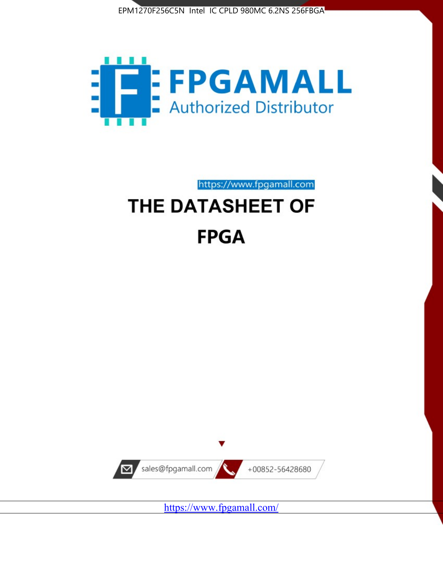



https://www.fpgamall.com

# THE DATASHEET OF **FPGA**



https://www.fpgamall.com/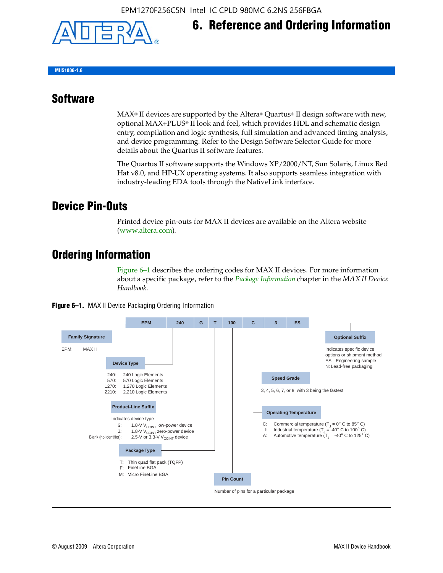

# **6. Reference and Ordering Information**

**MII51006-1.6**

#### **Software**

 $MAX<sup>®</sup>$  II devices are supported by the Altera® Quartus<sup>®</sup> II design software with new, optional MAX+PLUS® II look and feel, which provides HDL and schematic design entry, compilation and logic synthesis, full simulation and advanced timing analysis, and device programming. Refer to the Design Software Selector Guide for more details about the Quartus II software features.

The Quartus II software supports the Windows XP/2000/NT, Sun Solaris, Linux Red Hat v8.0, and HP-UX operating systems. It also supports seamless integration with industry-leading EDA tools through the NativeLink interface.

#### **Device Pin-Outs**

Printed device pin-outs for MAX II devices are available on the Altera website ([www.altera.com](http://www.altera.com/)).

### **Ordering Information**

Figure 6–1 describes the ordering codes for MAX II devices. For more information about a specific package, refer to the *[Package Information](http://www.altera.com/literature/hb/max2/max2_mii51007.pdf)* chapter in the *MAX II Device Handbook*.



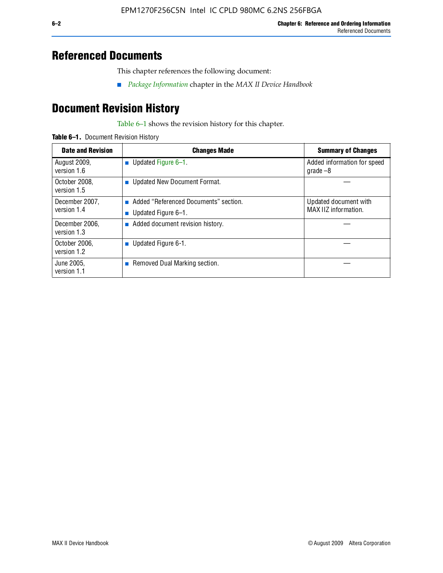## **Referenced Documents**

This chapter references the following document:

■ *[Package Information](http://www.altera.com/literature/hb/max2/max2_mii51007.pdf)* chapter in the *MAX II Device Handbook*

## **Document Revision History**

Table 6–1 shows the revision history for this chapter.

| Table 6-1. Document Revision History |
|--------------------------------------|
|                                      |

| <b>Date and Revision</b>      | <b>Changes Made</b>                                          | <b>Summary of Changes</b>                     |
|-------------------------------|--------------------------------------------------------------|-----------------------------------------------|
| August 2009,<br>version 1.6   | <b>Updated Figure 6-1.</b>                                   | Added information for speed<br>$q\,rad\,e-8$  |
| October 2008,<br>version 1.5  | <b>Updated New Document Format.</b>                          |                                               |
| December 2007,<br>version 1.4 | Added "Referenced Documents" section.<br>Updated Figure 6–1. | Updated document with<br>MAX IIZ information. |
| December 2006.<br>version 1.3 | Added document revision history.                             |                                               |
| October 2006,<br>version 1.2  | ■ Updated Figure $6-1$ .                                     |                                               |
| June 2005.<br>version 1.1     | <b>Removed Dual Marking section.</b>                         |                                               |